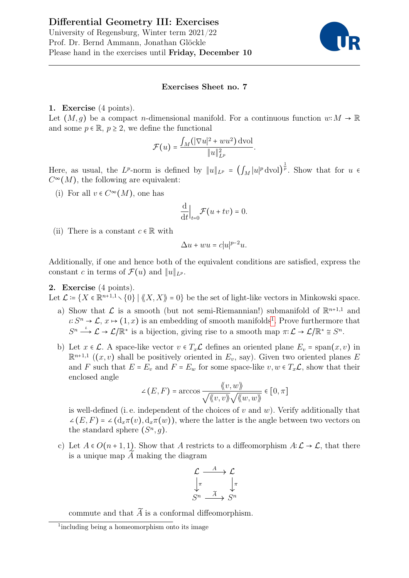

## Exercises Sheet no. 7

## 1. Exercise (4 points).

Let  $(M, q)$  be a compact *n*-dimensional manifold. For a continuous function  $w: M \to \mathbb{R}$ and some  $p \in \mathbb{R}$ ,  $p \geq 2$ , we define the functional

$$
\mathcal{F}(u) = \frac{\int_M (|\nabla u|^2 + w u^2) \, \mathrm{dvol}}{\|u\|_{L^p}^2}.
$$

Here, as usual, the L<sup>p</sup>-norm is defined by  $||u||_{L^p} = (\int_M |u|^p \, \mathrm{d}v \mathrm{d}v)^\frac{1}{p}$ . Show that for  $u \in$  $C^{\infty}(M)$ , the following are equivalent:

(i) For all  $v \in C^{\infty}(M)$ , one has

$$
\frac{\mathrm{d}}{\mathrm{d}t}\Big|_{t=0}\mathcal{F}(u+tv)=0.
$$

(ii) There is a constant  $c \in \mathbb{R}$  with

$$
\Delta u + w u = c |u|^{p-2} u.
$$

Additionally, if one and hence both of the equivalent conditions are satisfied, express the constant c in terms of  $\mathcal{F}(u)$  and  $||u||_{L^p}$ .

## 2. Exercise (4 points).

Let  $\mathcal{L} = \{X \in \mathbb{R}^{n+1,1} \setminus \{0\} \mid \langle X, X \rangle \rangle = 0\}$  be the set of light-like vectors in Minkowski space.

- a) Show that  $\mathcal L$  is a smooth (but not semi-Riemannian!) submanifold of  $\mathbb R^{n+1,1}$  and  $\iota: S^n \to \mathcal{L}, x \mapsto (1, x)$  $\iota: S^n \to \mathcal{L}, x \mapsto (1, x)$  $\iota: S^n \to \mathcal{L}, x \mapsto (1, x)$  is an embedding of smooth manifolds<sup>1</sup>. Prove furthermore that  $S^n \xrightarrow{\iota} \mathcal{L} \to \mathcal{L}/\mathbb{R}^*$  is a bijection, giving rise to a smooth map  $\pi: \mathcal{L} \to \mathcal{L}/\mathbb{R}^* \cong S^n$ .
- b) Let  $x \in \mathcal{L}$ . A space-like vector  $v \in T_x \mathcal{L}$  defines an oriented plane  $E_v = \text{span}(x, v)$  in  $\mathbb{R}^{n+1,1}$   $((x,v)$  shall be positively oriented in  $E_v$ , say). Given two oriented planes E and F such that  $E = E_v$  and  $F = E_w$  for some space-like  $v, w \in T_x \mathcal{L}$ , show that their enclosed angle

$$
\angle(E, F) = \arccos \frac{\langle\!\langle v, w \rangle\!\rangle}{\sqrt{\langle\!\langle v, v \rangle\!\rangle} \sqrt{\langle\!\langle w, w \rangle\!\rangle}} \in [0, \pi]
$$

is well-defined (i.e. independent of the choices of v and w). Verify additionally that  $\angle(E, F) = \angle(d_x\pi(v), d_x\pi(w))$ , where the latter is the angle between two vectors on the standard sphere  $(S^n, g)$ .

c) Let  $A \in O(n+1,1)$ . Show that A restricts to a diffeomorphism  $A: \mathcal{L} \to \mathcal{L}$ , that there is a unique map  $\widetilde{A}$  making the diagram



commute and that  $\widetilde{A}$  is a conformal diffeomorphism.

<span id="page-0-0"></span><sup>&</sup>lt;sup>1</sup>including being a homeomorphism onto its image